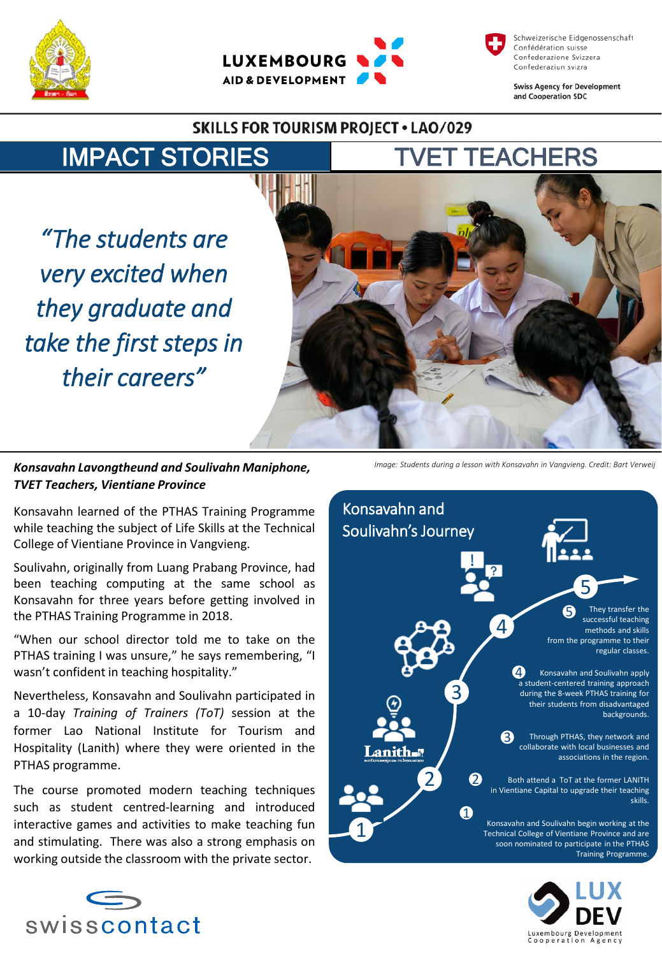





**Swiss Agency for Development** and Cooperation SDC

## **SKILLS FOR TOURISM PROJECT . LAO/029**



*"The students are very excited when they graduate and take the first steps in their careers"*

*Konsavahn Lavongtheund and Soulivahn Maniphone, TVET Teachers, Vientiane Province*

Konsavahn learned of the PTHAS Training Programme while teaching the subject of Life Skills at the Technical College of Vientiane Province in Vangvieng.

Soulivahn, originally from Luang Prabang Province, had been teaching computing at the same school as Konsavahn for three years before getting involved in the PTHAS Training Programme in 2018.

"When our school director told me to take on the PTHAS training I was unsure," he says remembering, "I wasn't confident in teaching hospitality."

Nevertheless, Konsavahn and Soulivahn participated in a 10-day *Training of Trainers (ToT)* session at the former Lao National Institute for Tourism and Hospitality (Lanith) where they were oriented in the PTHAS programme.

The course promoted modern teaching techniques such as student centred-learning and introduced interactive games and activities to make teaching fun and stimulating. There was also a strong emphasis on working outside the classroom with the private sector.



*Image: Students during a lesson with Konsavahn in Vangvieng. Credit: Bart Verweij*